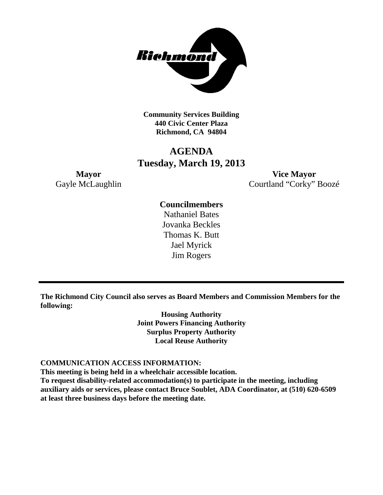

**Community Services Building 440 Civic Center Plaza Richmond, CA 94804**

### **AGENDA Tuesday, March 19, 2013**

**Mayor Vice Mayor** Gayle McLaughlin Courtland "Corky" Boozé

### **Councilmembers**

Nathaniel Bates Jovanka Beckles Thomas K. Butt Jael Myrick Jim Rogers

**The Richmond City Council also serves as Board Members and Commission Members for the following:**

> **Housing Authority Joint Powers Financing Authority Surplus Property Authority Local Reuse Authority**

### **COMMUNICATION ACCESS INFORMATION:**

**This meeting is being held in a wheelchair accessible location.**

**To request disability-related accommodation(s) to participate in the meeting, including auxiliary aids or services, please contact Bruce Soublet, ADA Coordinator, at (510) 620-6509 at least three business days before the meeting date.**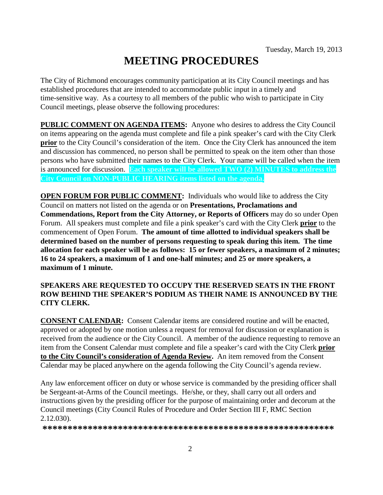# **MEETING PROCEDURES**

The City of Richmond encourages community participation at its City Council meetings and has established procedures that are intended to accommodate public input in a timely and time-sensitive way. As a courtesy to all members of the public who wish to participate in City Council meetings, please observe the following procedures:

**PUBLIC COMMENT ON AGENDA ITEMS:** Anyone who desires to address the City Council on items appearing on the agenda must complete and file a pink speaker's card with the City Clerk **prior** to the City Council's consideration of the item. Once the City Clerk has announced the item and discussion has commenced, no person shall be permitted to speak on the item other than those persons who have submitted their names to the City Clerk. Your name will be called when the item is announced for discussion. **Each speaker will be allowed TWO (2) MINUTES to address the City Council on NON-PUBLIC HEARING items listed on the agenda.**

**OPEN FORUM FOR PUBLIC COMMENT:** Individuals who would like to address the City Council on matters not listed on the agenda or on **Presentations, Proclamations and Commendations, Report from the City Attorney, or Reports of Officers** may do so under Open Forum. All speakers must complete and file a pink speaker's card with the City Clerk **prior** to the commencement of Open Forum. **The amount of time allotted to individual speakers shall be determined based on the number of persons requesting to speak during this item. The time allocation for each speaker will be as follows: 15 or fewer speakers, a maximum of 2 minutes; 16 to 24 speakers, a maximum of 1 and one-half minutes; and 25 or more speakers, a maximum of 1 minute.**

### **SPEAKERS ARE REQUESTED TO OCCUPY THE RESERVED SEATS IN THE FRONT ROW BEHIND THE SPEAKER'S PODIUM AS THEIR NAME IS ANNOUNCED BY THE CITY CLERK.**

**CONSENT CALENDAR:** Consent Calendar items are considered routine and will be enacted, approved or adopted by one motion unless a request for removal for discussion or explanation is received from the audience or the City Council. A member of the audience requesting to remove an item from the Consent Calendar must complete and file a speaker's card with the City Clerk **prior to the City Council's consideration of Agenda Review.** An item removed from the Consent Calendar may be placed anywhere on the agenda following the City Council's agenda review.

Any law enforcement officer on duty or whose service is commanded by the presiding officer shall be Sergeant-at-Arms of the Council meetings. He/she, or they, shall carry out all orders and instructions given by the presiding officer for the purpose of maintaining order and decorum at the Council meetings (City Council Rules of Procedure and Order Section III F, RMC Section 2.12.030).

**\*\*\*\*\*\*\*\*\*\*\*\*\*\*\*\*\*\*\*\*\*\*\*\*\*\*\*\*\*\*\*\*\*\*\*\*\*\*\*\*\*\*\*\*\*\*\*\*\*\*\*\*\*\*\*\*\*\***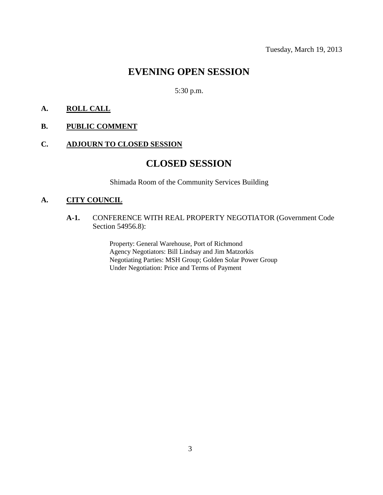# **EVENING OPEN SESSION**

5:30 p.m.

### **A. ROLL CALL**

#### **B. PUBLIC COMMENT**

### **C. ADJOURN TO CLOSED SESSION**

### **CLOSED SESSION**

Shimada Room of the Community Services Building

### **A. CITY COUNCIL**

**A-1.** CONFERENCE WITH REAL PROPERTY NEGOTIATOR (Government Code Section 54956.8):

> Property: General Warehouse, Port of Richmond Agency Negotiators: Bill Lindsay and Jim Matzorkis Negotiating Parties: MSH Group; Golden Solar Power Group Under Negotiation: Price and Terms of Payment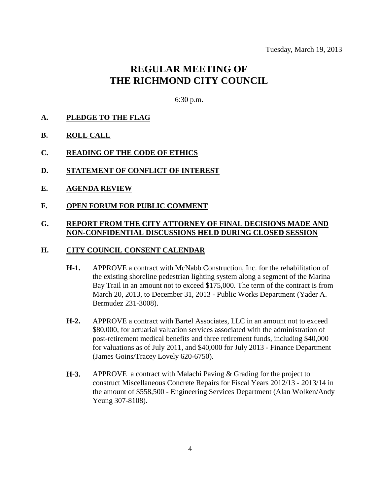## **REGULAR MEETING OF THE RICHMOND CITY COUNCIL**

6:30 p.m.

- **A. PLEDGE TO THE FLAG**
- **B. ROLL CALL**
- **C. READING OF THE CODE OF ETHICS**
- **D. STATEMENT OF CONFLICT OF INTEREST**
- **E. AGENDA REVIEW**
- **F. OPEN FORUM FOR PUBLIC COMMENT**

### **G. REPORT FROM THE CITY ATTORNEY OF FINAL DECISIONS MADE AND NON-CONFIDENTIAL DISCUSSIONS HELD DURING CLOSED SESSION**

#### **H. CITY COUNCIL CONSENT CALENDAR**

- **H-1.** APPROVE a contract with McNabb Construction, Inc. for the rehabilitation of the existing shoreline pedestrian lighting system along a segment of the Marina Bay Trail in an amount not to exceed \$175,000. The term of the contract is from March 20, 2013, to December 31, 2013 - Public Works Department (Yader A. Bermudez 231-3008).
- **H-2.** APPROVE a contract with Bartel Associates, LLC in an amount not to exceed \$80,000, for actuarial valuation services associated with the administration of post-retirement medical benefits and three retirement funds, including \$40,000 for valuations as of July 2011, and \$40,000 for July 2013 - Finance Department (James Goins/Tracey Lovely 620-6750).
- **H-3.** APPROVE a contract with Malachi Paving & Grading for the project to construct Miscellaneous Concrete Repairs for Fiscal Years 2012/13 - 2013/14 in the amount of \$558,500 - Engineering Services Department (Alan Wolken/Andy Yeung 307-8108).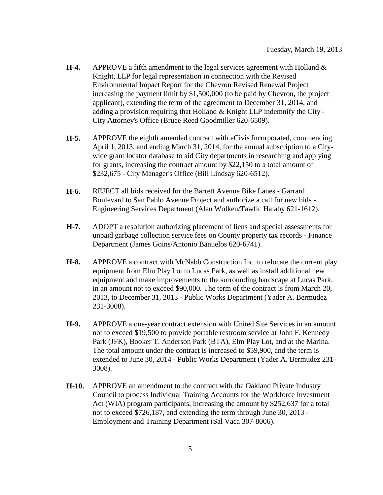- **H-4.** APPROVE a fifth amendment to the legal services agreement with Holland & Knight, LLP for legal representation in connection with the Revised Environmental Impact Report for the Chevron Revised Renewal Project increasing the payment limit by \$1,500,000 (to be paid by Chevron, the project applicant), extending the term of the agreement to December 31, 2014, and adding a provision requiring that Holland  $&$  Knight LLP indemnify the City -City Attorney's Office (Bruce Reed Goodmiller 620-6509).
- **H-5.** APPROVE the eighth amended contract with eCivis Incorporated, commencing April 1, 2013, and ending March 31, 2014, for the annual subscription to a Citywide grant locator database to aid City departments in researching and applying for grants, increasing the contract amount by \$22,150 to a total amount of \$232,675 - City Manager's Office (Bill Lindsay 620-6512).
- **H-6.** REJECT all bids received for the Barrett Avenue Bike Lanes Garrard Boulevard to San Pablo Avenue Project and authorize a call for new bids - Engineering Services Department (Alan Wolken/Tawfic Halaby 621-1612).
- **H-7.** ADOPT a resolution authorizing placement of liens and special assessments for unpaid garbage collection service fees on County property tax records - Finance Department (James Goins/Antonio Banuelos 620-6741).
- **H-8.** APPROVE a contract with McNabb Construction Inc. to relocate the current play equipment from Elm Play Lot to Lucas Park, as well as install additional new equipment and make improvements to the surrounding hardscape at Lucas Park, in an amount not to exceed \$90,000. The term of the contract is from March 20, 2013, to December 31, 2013 - Public Works Department (Yader A. Bermudez 231-3008).
- **H-9.** APPROVE a one-year contract extension with United Site Services in an amount not to exceed \$19,500 to provide portable restroom service at John F. Kennedy Park (JFK), Booker T. Anderson Park (BTA), Elm Play Lot, and at the Marina. The total amount under the contract is increased to \$59,900, and the term is extended to June 30, 2014 - Public Works Department (Yader A. Bermudez 231- 3008).
- **H-10.** APPROVE an amendment to the contract with the Oakland Private Industry Council to process Individual Training Accounts for the Workforce Investment Act (WIA) program participants, increasing the amount by \$252,637 for a total not to exceed \$726,187, and extending the term through June 30, 2013 - Employment and Training Department (Sal Vaca 307-8006).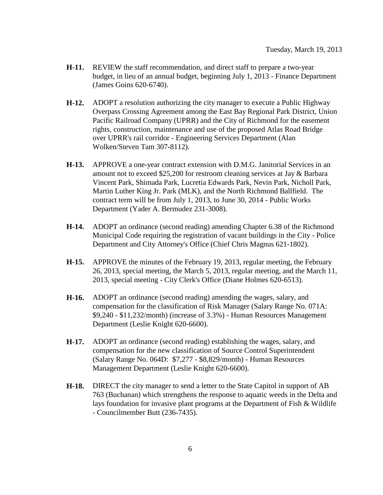- **H-11.** REVIEW the staff recommendation, and direct staff to prepare a two-year budget, in lieu of an annual budget, beginning July 1, 2013 - Finance Department (James Goins 620-6740).
- **H-12.** ADOPT a resolution authorizing the city manager to execute a Public Highway Overpass Crossing Agreement among the East Bay Regional Park District, Union Pacific Railroad Company (UPRR) and the City of Richmond for the easement rights, construction, maintenance and use of the proposed Atlas Road Bridge over UPRR's rail corridor - Engineering Services Department (Alan Wolken/Steven Tam 307-8112).
- **H-13.** APPROVE a one-year contract extension with D.M.G. Janitorial Services in an amount not to exceed \$25,200 for restroom cleaning services at Jay & Barbara Vincent Park, Shimada Park, Lucretia Edwards Park, Nevin Park, Nicholl Park, Martin Luther King Jr. Park (MLK), and the North Richmond Ballfield. The contract term will be from July 1, 2013, to June 30, 2014 - Public Works Department (Yader A. Bermudez 231-3008).
- **H-14.** ADOPT an ordinance (second reading) amending Chapter 6.38 of the Richmond Municipal Code requiring the registration of vacant buildings in the City - Police Department and City Attorney's Office (Chief Chris Magnus 621-1802).
- **H-15.** APPROVE the minutes of the February 19, 2013, regular meeting, the February 26, 2013, special meeting, the March 5, 2013, regular meeting, and the March 11, 2013, special meeting - City Clerk's Office (Diane Holmes 620-6513).
- **H-16.** ADOPT an ordinance (second reading) amending the wages, salary, and compensation for the classification of Risk Manager (Salary Range No. 071A: \$9,240 - \$11,232/month) (increase of 3.3%) - Human Resources Management Department (Leslie Knight 620-6600).
- **H-17.** ADOPT an ordinance (second reading) establishing the wages, salary, and compensation for the new classification of Source Control Superintendent (Salary Range No. 064D: \$7,277 - \$8,829/month) - Human Resources Management Department (Leslie Knight 620-6600).
- **H-18.** DIRECT the city manager to send a letter to the State Capitol in support of AB 763 (Buchanan) which strengthens the response to aquatic weeds in the Delta and lays foundation for invasive plant programs at the Department of Fish & Wildlife - Councilmember Butt (236-7435).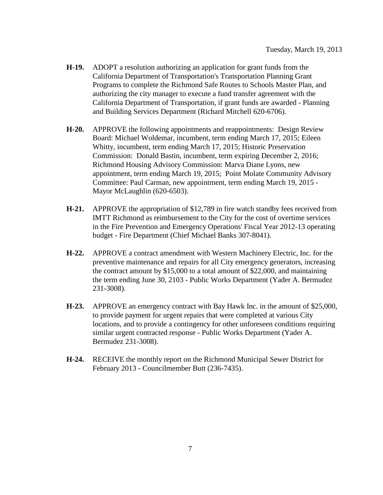- **H-19.** ADOPT a resolution authorizing an application for grant funds from the California Department of Transportation's Transportation Planning Grant Programs to complete the Richmond Safe Routes to Schools Master Plan, and authorizing the city manager to execute a fund transfer agreement with the California Department of Transportation, if grant funds are awarded - Planning and Building Services Department (Richard Mitchell 620-6706).
- **H-20.** APPROVE the following appointments and reappointments: Design Review Board: Michael Woldemar, incumbent, term ending March 17, 2015; Eileen Whitty, incumbent, term ending March 17, 2015; Historic Preservation Commission: Donald Bastin, incumbent, term expiring December 2, 2016; Richmond Housing Advisory Commission: Marva Diane Lyons, new appointment, term ending March 19, 2015; Point Molate Community Advisory Committee: Paul Carman, new appointment, term ending March 19, 2015 - Mayor McLaughlin (620-6503).
- **H-21.** APPROVE the appropriation of \$12,789 in fire watch standby fees received from IMTT Richmond as reimbursement to the City for the cost of overtime services in the Fire Prevention and Emergency Operations' Fiscal Year 2012-13 operating budget - Fire Department (Chief Michael Banks 307-8041).
- **H-22.** APPROVE a contract amendment with Western Machinery Electric, Inc. for the preventive maintenance and repairs for all City emergency generators, increasing the contract amount by \$15,000 to a total amount of \$22,000, and maintaining the term ending June 30, 2103 - Public Works Department (Yader A. Bermudez 231-3008).
- **H-23.** APPROVE an emergency contract with Bay Hawk Inc. in the amount of \$25,000, to provide payment for urgent repairs that were completed at various City locations, and to provide a contingency for other unforeseen conditions requiring similar urgent contracted response - Public Works Department (Yader A. Bermudez 231-3008).
- **H-24.** RECEIVE the monthly report on the Richmond Municipal Sewer District for February 2013 - Councilmember Butt (236-7435).